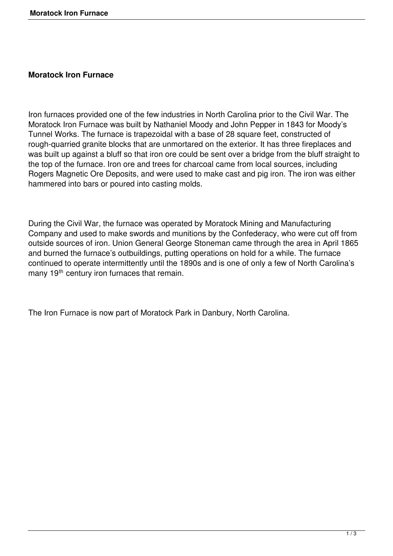## **Moratock Iron Furnace**

Iron furnaces provided one of the few industries in North Carolina prior to the Civil War. The Moratock Iron Furnace was built by Nathaniel Moody and John Pepper in 1843 for Moody's Tunnel Works. The furnace is trapezoidal with a base of 28 square feet, constructed of rough-quarried granite blocks that are unmortared on the exterior. It has three fireplaces and was built up against a bluff so that iron ore could be sent over a bridge from the bluff straight to the top of the furnace. Iron ore and trees for charcoal came from local sources, including Rogers Magnetic Ore Deposits, and were used to make cast and pig iron. The iron was either hammered into bars or poured into casting molds.

During the Civil War, the furnace was operated by Moratock Mining and Manufacturing Company and used to make swords and munitions by the Confederacy, who were cut off from outside sources of iron. Union General George Stoneman came through the area in April 1865 and burned the furnace's outbuildings, putting operations on hold for a while. The furnace continued to operate intermittently until the 1890s and is one of only a few of North Carolina's many 19<sup>th</sup> century iron furnaces that remain.

The Iron Furnace is now part of Moratock Park in Danbury, North Carolina.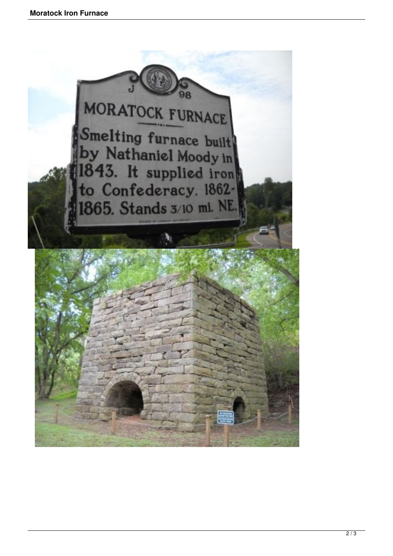